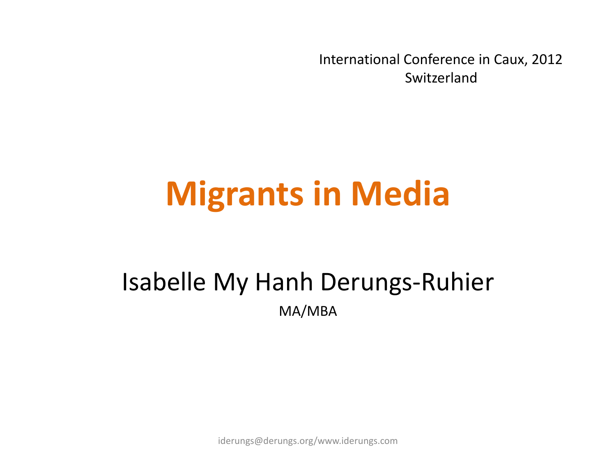International Conference in Caux, 2012 Switzerland

# **Migrants in Media**

#### Isabelle My Hanh Derungs-Ruhier MA/MBA

iderungs@derungs.org/www.iderungs.com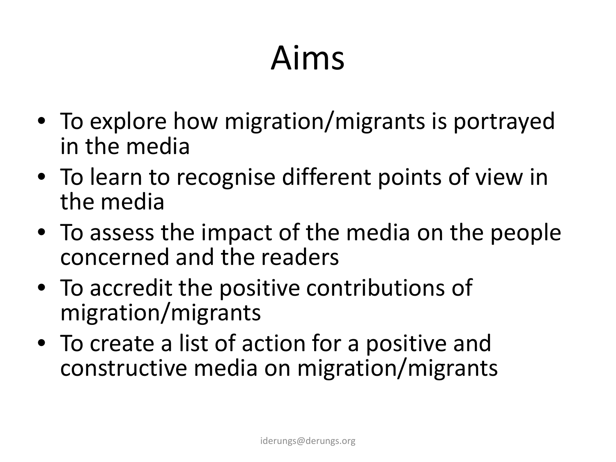# Aims

- To explore how migration/migrants is portrayed in the media
- To learn to recognise different points of view in the media
- To assess the impact of the media on the people concerned and the readers
- To accredit the positive contributions of migration/migrants
- To create a list of action for a positive and constructive media on migration/migrants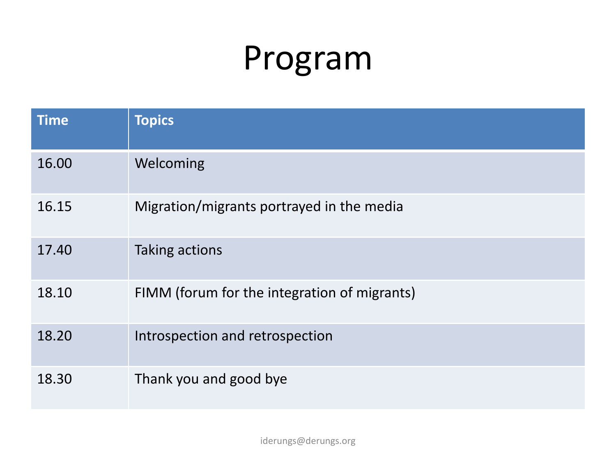#### Program

| <b>Time</b> | <b>Topics</b>                                |
|-------------|----------------------------------------------|
| 16.00       | Welcoming                                    |
| 16.15       | Migration/migrants portrayed in the media    |
| 17.40       | Taking actions                               |
| 18.10       | FIMM (forum for the integration of migrants) |
| 18.20       | Introspection and retrospection              |
| 18.30       | Thank you and good bye                       |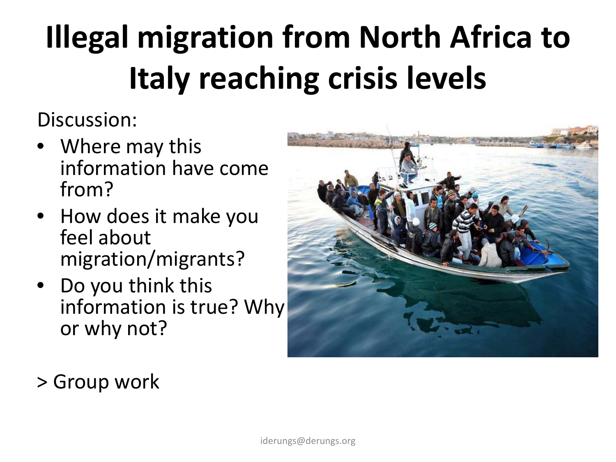# **Illegal migration from North Africa to Italy reaching crisis levels**

Discussion:

- Where may this information have come from?
- How does it make you feel about migration/migrants?
- Do you think this information is true? Why or why not?



> Group work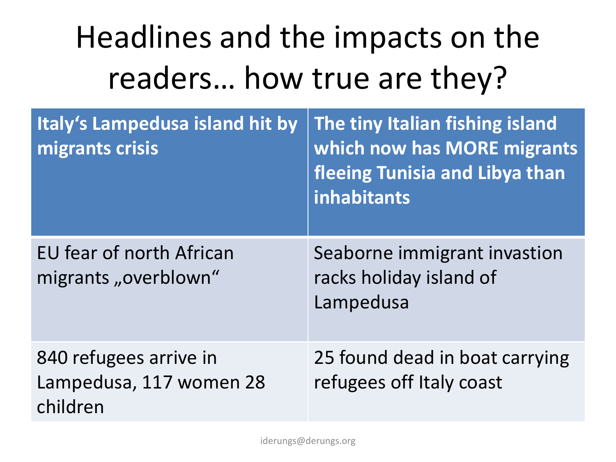#### Headlines and the impacts on the readers… how true are they?

| Italy's Lampedusa island hit by<br>migrants crisis            | The tiny Italian fishing island<br>which now has MORE migrants<br>fleeing Tunisia and Libya than<br><b>inhabitants</b> |
|---------------------------------------------------------------|------------------------------------------------------------------------------------------------------------------------|
| EU fear of north African<br>migrants "overblown"              | Seaborne immigrant invastion<br>racks holiday island of<br>Lampedusa                                                   |
| 840 refugees arrive in<br>Lampedusa, 117 women 28<br>children | 25 found dead in boat carrying<br>refugees off Italy coast                                                             |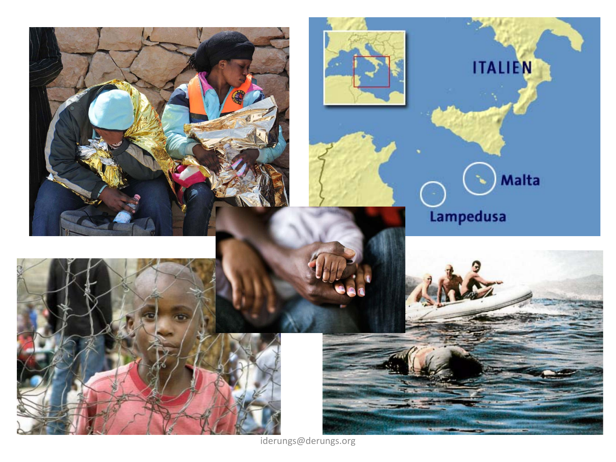

iderungs@derungs.org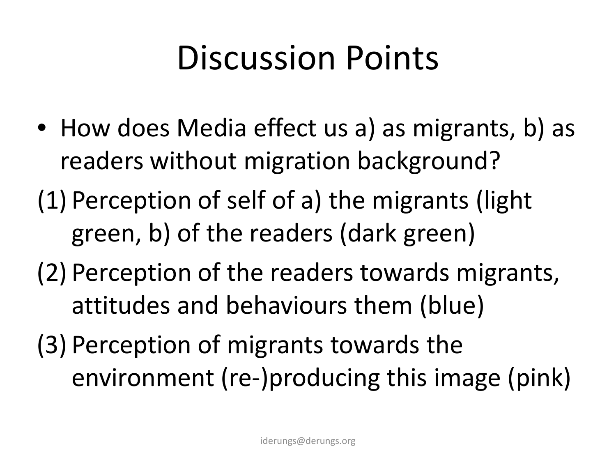### Discussion Points

- How does Media effect us a) as migrants, b) as readers without migration background?
- (1) Perception of self of a) the migrants (light green, b) of the readers (dark green)
- (2) Perception of the readers towards migrants, attitudes and behaviours them (blue)
- (3) Perception of migrants towards the environment (re-)producing this image (pink)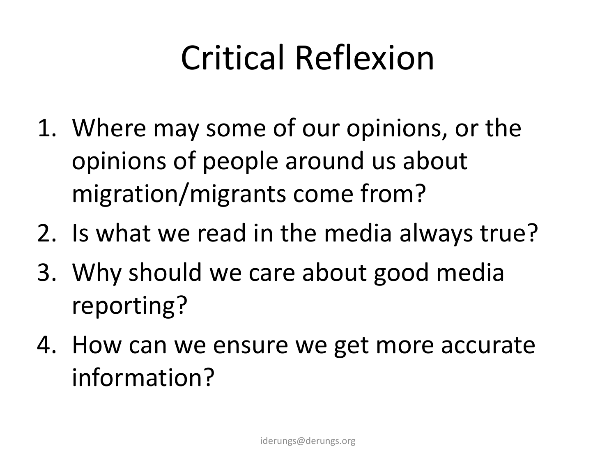### Critical Reflexion

- 1. Where may some of our opinions, or the opinions of people around us about migration/migrants come from?
- 2. Is what we read in the media always true?
- 3. Why should we care about good media reporting?
- 4. How can we ensure we get more accurate information?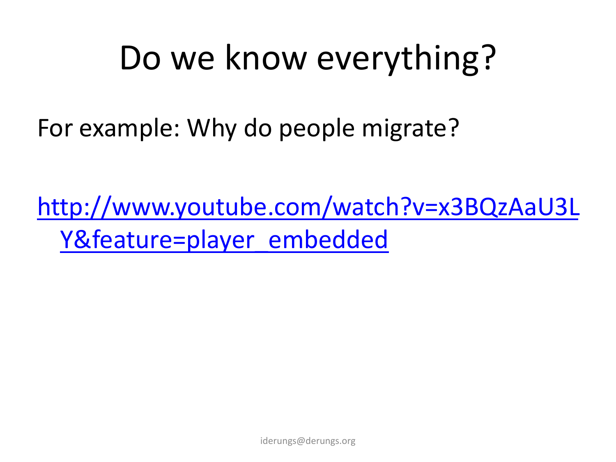### Do we know everything?

For example: Why do people migrate?

[http://www.youtube.com/watch?v=x3BQzAaU3L](http://www.youtube.com/watch?v=x3BQzAaU3LY&feature=player_embedded) [Y&feature=player\\_embedded](http://www.youtube.com/watch?v=x3BQzAaU3LY&feature=player_embedded)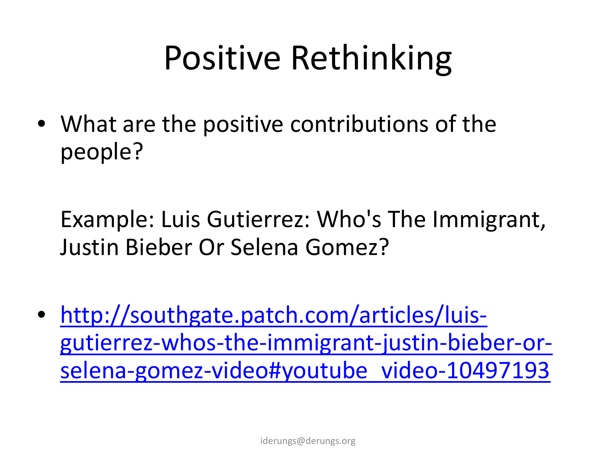# Positive Rethinking

• What are the positive contributions of the people?

Example: Luis Gutierrez: Who's The Immigrant, Justin Bieber Or Selena Gomez?

• [http://southgate.patch.com/articles/luis](http://southgate.patch.com/articles/luis-gutierrez-whos-the-immigrant-justin-bieber-or-selena-gomez-video)[gutierrez-whos-the-immigrant-justin-bieber-or](http://southgate.patch.com/articles/luis-gutierrez-whos-the-immigrant-justin-bieber-or-selena-gomez-video)[selena-gomez-video#youtube\\_video-10497193](http://southgate.patch.com/articles/luis-gutierrez-whos-the-immigrant-justin-bieber-or-selena-gomez-video)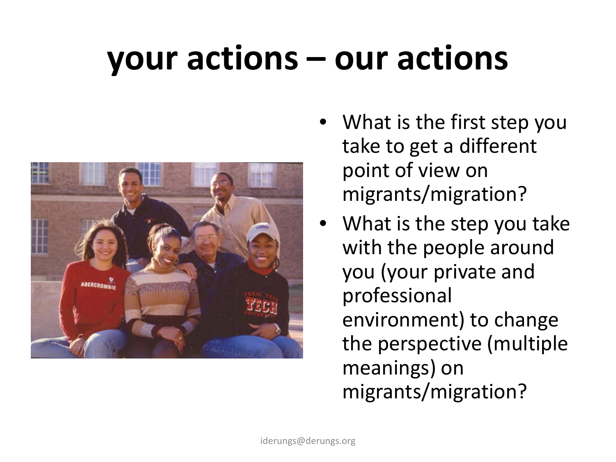# **your actions – our actions**



- What is the first step you take to get a different point of view on migrants/migration?
- What is the step you take with the people around you (your private and professional environment) to change the perspective (multiple meanings) on migrants/migration?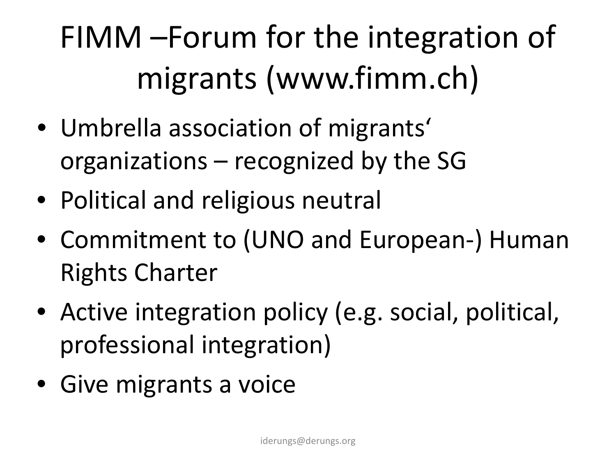### FIMM –Forum for the integration of migrants (www.fimm.ch)

- Umbrella association of migrants' organizations – recognized by the SG
- Political and religious neutral
- Commitment to (UNO and European-) Human Rights Charter
- Active integration policy (e.g. social, political, professional integration)
- Give migrants a voice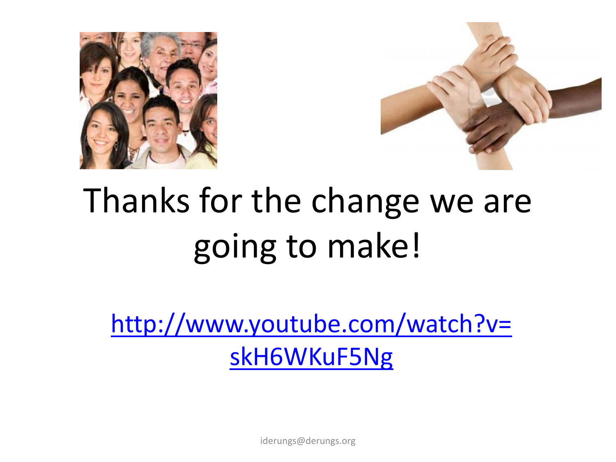



# Thanks for the change we are going to make!

[http://www.youtube.com/watch?v=](http://www.youtube.com/watch?v=skH6WKuF5Ng) [skH6WKuF5Ng](http://www.youtube.com/watch?v=skH6WKuF5Ng)

iderungs@derungs.org